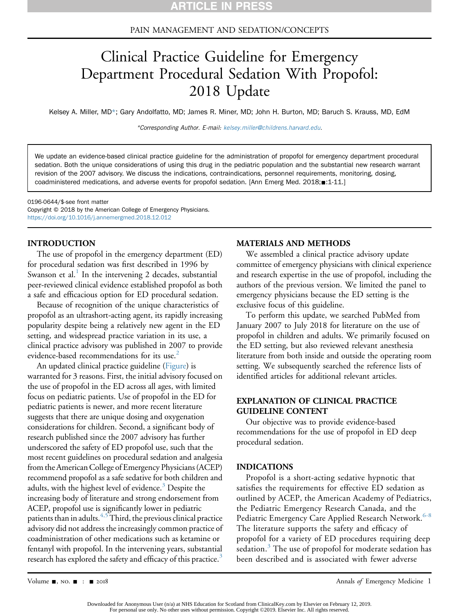#### PAIN MANAGEMENT AND SEDATION/CONCEPTS

# Clinical Practice Guideline for Emergency Department Procedural Sedation With Propofol: 2018 Update

Kelsey A. Miller, MD\*; Gary Andolfatto, MD; James R. Miner, MD; John H. Burton, MD; Baruch S. Krauss, MD, EdM

\*Corresponding Author. E-mail: [kelsey.miller@childrens.harvard.edu](mailto:kelsey.miller@childrens.harvard.edu).

We update an evidence-based clinical practice guideline for the administration of propofol for emergency department procedural sedation. Both the unique considerations of using this drug in the pediatric population and the substantial new research warrant revision of the 2007 advisory. We discuss the indications, contraindications, personnel requirements, monitoring, dosing, coadministered medications, and adverse events for propofol sedation. [Ann Emerg Med. 2018; :1-11.]

0196-0644/\$-see front matter Copyright © 2018 by the American College of Emergency Physicians. <https://doi.org/10.1016/j.annemergmed.2018.12.012>

#### INTRODUCTION

The use of propofol in the emergency department (ED) for procedural sedation was first described in 1996 by Swanson et al. $<sup>1</sup>$  $<sup>1</sup>$  $<sup>1</sup>$  In the intervening 2 decades, substantial</sup> peer-reviewed clinical evidence established propofol as both a safe and efficacious option for ED procedural sedation.

Because of recognition of the unique characteristics of propofol as an ultrashort-acting agent, its rapidly increasing popularity despite being a relatively new agent in the ED setting, and widespread practice variation in its use, a clinical practice advisory was published in 2007 to provide evidence-based recommendations for its use.<sup>[2](#page-6-1)</sup>

An updated clinical practice guideline (Figure) is warranted for 3 reasons. First, the initial advisory focused on the use of propofol in the ED across all ages, with limited focus on pediatric patients. Use of propofol in the ED for pediatric patients is newer, and more recent literature suggests that there are unique dosing and oxygenation considerations for children. Second, a significant body of research published since the 2007 advisory has further underscored the safety of ED propofol use, such that the most recent guidelines on procedural sedation and analgesia from the American College of Emergency Physicians (ACEP) recommend propofol as a safe sedative for both children and adults, with the highest level of evidence.<sup>[3](#page-6-2)</sup> Despite the increasing body of literature and strong endorsement from ACEP, propofol use is significantly lower in pediatric patients than in adults.<sup>[4,5](#page-6-3)</sup> Third, the previous clinical practice advisory did not address the increasingly common practice of coadministration of other medications such as ketamine or fentanyl with propofol. In the intervening years, substantial research has explored the safety and efficacy of this practice.<sup>[3](#page-6-2)</sup>

#### MATERIALS AND METHODS

We assembled a clinical practice advisory update committee of emergency physicians with clinical experience and research expertise in the use of propofol, including the authors of the previous version. We limited the panel to emergency physicians because the ED setting is the exclusive focus of this guideline.

To perform this update, we searched PubMed from January 2007 to July 2018 for literature on the use of propofol in children and adults. We primarily focused on the ED setting, but also reviewed relevant anesthesia literature from both inside and outside the operating room setting. We subsequently searched the reference lists of identified articles for additional relevant articles.

# EXPLANATION OF CLINICAL PRACTICE GUIDELINE CONTENT

Our objective was to provide evidence-based recommendations for the use of propofol in ED deep procedural sedation.

#### INDICATIONS

Propofol is a short-acting sedative hypnotic that satisfies the requirements for effective ED sedation as outlined by ACEP, the American Academy of Pediatrics, the Pediatric Emergency Research Canada, and the Pediatric Emergency Care Applied Research Network.<sup>[6-8](#page-6-4)</sup> The literature supports the safety and efficacy of propofol for a variety of ED procedures requiring deep sedation.<sup>[3](#page-6-2)</sup> The use of propofol for moderate sedation has been described and is associated with fewer adverse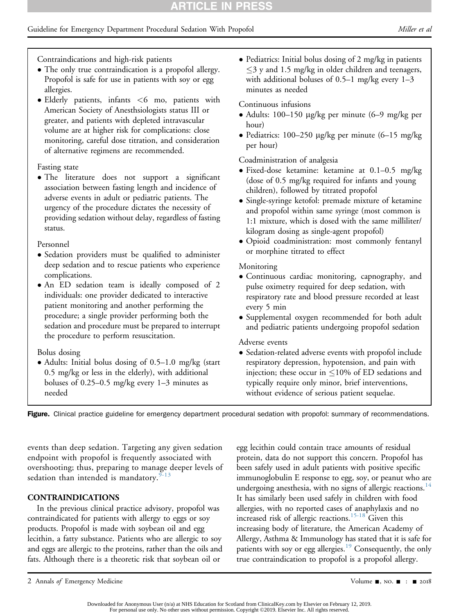# Guideline for Emergency Department Procedural Sedation With Propofol Miller et al. (*Miller et al.* (*Miller et al.*

Contraindications and high-risk patients

- The only true contraindication is a propofol allergy. Propofol is safe for use in patients with soy or egg allergies.
- Elderly patients, infants <6 mo, patients with American Society of Anesthsiologists status III or greater, and patients with depleted intravascular volume are at higher risk for complications: close monitoring, careful dose titration, and consideration of alternative regimens are recommended.

#### Fasting state

• The literature does not support a significant association between fasting length and incidence of adverse events in adult or pediatric patients. The urgency of the procedure dictates the necessity of providing sedation without delay, regardless of fasting status.

#### Personnel

- Sedation providers must be qualified to administer deep sedation and to rescue patients who experience complications.
- An ED sedation team is ideally composed of 2 individuals: one provider dedicated to interactive patient monitoring and another performing the procedure; a single provider performing both the sedation and procedure must be prepared to interrupt the procedure to perform resuscitation.

# Bolus dosing

 Adults: Initial bolus dosing of 0.5–1.0 mg/kg (start 0.5 mg/kg or less in the elderly), with additional boluses of 0.25–0.5 mg/kg every 1–3 minutes as needed

• Pediatrics: Initial bolus dosing of 2 mg/kg in patients  $\leq$ 3 y and 1.5 mg/kg in older children and teenagers, with additional boluses of  $0.5-1$  mg/kg every  $1-3$ minutes as needed

# Continuous infusions

- Adults: 100–150 mg/kg per minute (6–9 mg/kg per hour)
- Pediatrics: 100–250 µg/kg per minute  $(6-15 \text{ mg/kg})$ per hour)

Coadministration of analgesia

- Fixed-dose ketamine: ketamine at 0.1–0.5 mg/kg (dose of 0.5 mg/kg required for infants and young children), followed by titrated propofol
- Single-syringe ketofol: premade mixture of ketamine and propofol within same syringe (most common is 1:1 mixture, which is dosed with the same milliliter/ kilogram dosing as single-agent propofol)
- Opioid coadministration: most commonly fentanyl or morphine titrated to effect

# Monitoring

- Continuous cardiac monitoring, capnography, and pulse oximetry required for deep sedation, with respiratory rate and blood pressure recorded at least every 5 min
- Supplemental oxygen recommended for both adult and pediatric patients undergoing propofol sedation

# Adverse events

• Sedation-related adverse events with propofol include respiratory depression, hypotension, and pain with injection; these occur in  $\leq 10\%$  of ED sedations and typically require only minor, brief interventions, without evidence of serious patient sequelae.

Figure. Clinical practice guideline for emergency department procedural sedation with propofol: summary of recommendations.

events than deep sedation. Targeting any given sedation endpoint with propofol is frequently associated with overshooting; thus, preparing to manage deeper levels of sedation than intended is mandatory. $9-13$ 

# CONTRAINDICATIONS

In the previous clinical practice advisory, propofol was contraindicated for patients with allergy to eggs or soy products. Propofol is made with soybean oil and egg lecithin, a fatty substance. Patients who are allergic to soy and eggs are allergic to the proteins, rather than the oils and fats. Although there is a theoretic risk that soybean oil or

egg lecithin could contain trace amounts of residual protein, data do not support this concern. Propofol has been safely used in adult patients with positive specific immunoglobulin E response to egg, soy, or peanut who are undergoing anesthesia, with no signs of allergic reactions.<sup>[14](#page-7-1)</sup> It has similarly been used safely in children with food allergies, with no reported cases of anaphylaxis and no increased risk of allergic reactions.<sup>[15-18](#page-7-2)</sup> Given this increasing body of literature, the American Academy of Allergy, Asthma & Immunology has stated that it is safe for patients with soy or egg allergies.<sup>19</sup> Consequently, the only true contraindication to propofol is a propofol allergy.

<sup>2</sup> Annals of Emergency Medicine Contract Contract Contract Contract Contract Contract Contract Contract Contract Contract Contract Oriental Application Contract Contract Contract Contract Contract Contract Contract Contract

Downloaded for Anonymous User (n/a) at NHS Education for Scotland from ClinicalKey.com by Elsevier on February 12, 2019. For personal use only. No other uses without permission. Copyright ©2019. Elsevier Inc. All rights reserved.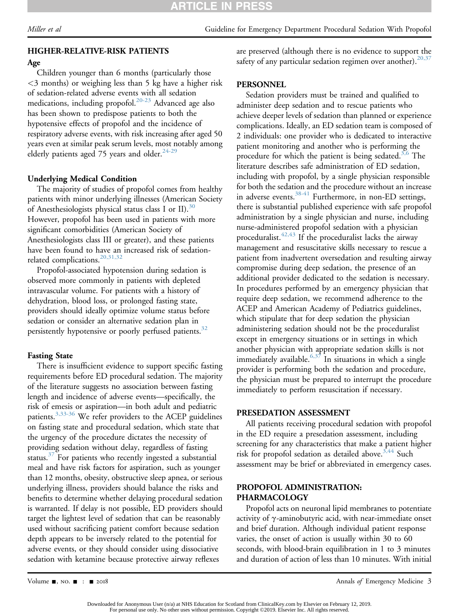# HIGHER-RELATIVE-RISK PATIENTS

#### Age

Children younger than 6 months (particularly those <3 months) or weighing less than 5 kg have a higher risk of sedation-related adverse events with all sedation medications, including propofol.[20-23](#page-7-4) Advanced age also has been shown to predispose patients to both the hypotensive effects of propofol and the incidence of respiratory adverse events, with risk increasing after aged 50 years even at similar peak serum levels, most notably among elderly patients aged 75 years and older. $24-29$ 

## Underlying Medical Condition

The majority of studies of propofol comes from healthy patients with minor underlying illnesses (American Society of Anesthesiologists physical status class I or II).<sup>[30](#page-7-6)</sup> However, propofol has been used in patients with more significant comorbidities (American Society of Anesthesiologists class III or greater), and these patients have been found to have an increased risk of sedationrelated complications.<sup>20,31,32</sup>

Propofol-associated hypotension during sedation is observed more commonly in patients with depleted intravascular volume. For patients with a history of dehydration, blood loss, or prolonged fasting state, providers should ideally optimize volume status before sedation or consider an alternative sedation plan in persistently hypotensive or poorly perfused patients.<sup>32</sup>

#### Fasting State

There is insufficient evidence to support specific fasting requirements before ED procedural sedation. The majority of the literature suggests no association between fasting length and incidence of adverse events—specifically, the risk of emesis or aspiration—in both adult and pediatric patients.<sup>3,33-36</sup> We refer providers to the ACEP guidelines on fasting state and procedural sedation, which state that the urgency of the procedure dictates the necessity of providing sedation without delay, regardless of fasting status. $37$  For patients who recently ingested a substantial meal and have risk factors for aspiration, such as younger than 12 months, obesity, obstructive sleep apnea, or serious underlying illness, providers should balance the risks and benefits to determine whether delaying procedural sedation is warranted. If delay is not possible, ED providers should target the lightest level of sedation that can be reasonably used without sacrificing patient comfort because sedation depth appears to be inversely related to the potential for adverse events, or they should consider using dissociative sedation with ketamine because protective airway reflexes

are preserved (although there is no evidence to support the safety of any particular sedation regimen over another).  $20,37$ 

#### **PERSONNEL**

Sedation providers must be trained and qualified to administer deep sedation and to rescue patients who achieve deeper levels of sedation than planned or experience complications. Ideally, an ED sedation team is composed of 2 individuals: one provider who is dedicated to interactive patient monitoring and another who is performing the procedure for which the patient is being sedated.<sup>3,6</sup> The literature describes safe administration of ED sedation, including with propofol, by a single physician responsible for both the sedation and the procedure without an increase in adverse events.<sup>[38-41](#page-7-9)</sup> Furthermore, in non-ED settings, there is substantial published experience with safe propofol administration by a single physician and nurse, including nurse-administered propofol sedation with a physician proceduralist. $42,43$  If the proceduralist lacks the airway management and resuscitative skills necessary to rescue a patient from inadvertent oversedation and resulting airway compromise during deep sedation, the presence of an additional provider dedicated to the sedation is necessary. In procedures performed by an emergency physician that require deep sedation, we recommend adherence to the ACEP and American Academy of Pediatrics guidelines, which stipulate that for deep sedation the physician administering sedation should not be the proceduralist except in emergency situations or in settings in which another physician with appropriate sedation skills is not immediately available. $6,37$  In situations in which a single provider is performing both the sedation and procedure, the physician must be prepared to interrupt the procedure immediately to perform resuscitation if necessary.

#### PRESEDATION ASSESSMENT

All patients receiving procedural sedation with propofol in the ED require a presedation assessment, including screening for any characteristics that make a patient higher risk for propofol sedation as detailed above.<sup>[3,44](#page-6-2)</sup> Such assessment may be brief or abbreviated in emergency cases.

#### PROPOFOL ADMINISTRATION: PHARMACOLOGY

Propofol acts on neuronal lipid membranes to potentiate activity of  $\gamma$ -aminobutyric acid, with near-immediate onset and brief duration. Although individual patient response varies, the onset of action is usually within 30 to 60 seconds, with blood-brain equilibration in 1 to 3 minutes and duration of action of less than 10 minutes. With initial

Downloaded for Anonymous User (n/a) at NHS Education for Scotland from ClinicalKey.com by Elsevier on February 12, 2019. For personal use only. No other uses without permission. Copyright ©2019. Elsevier Inc. All rights reserved.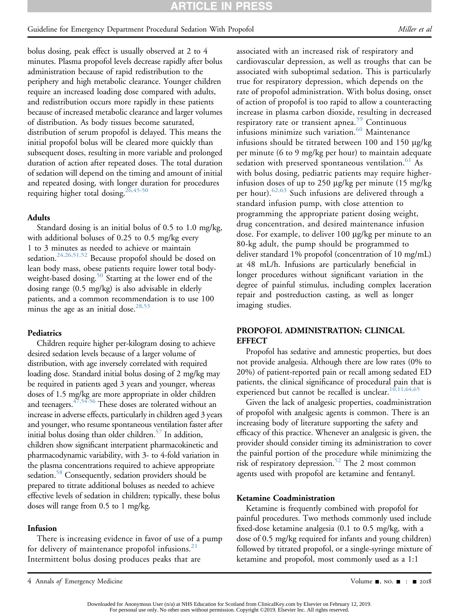#### Guideline for Emergency Department Procedural Sedation With Propofol Miller et al. (*Miller et al.* (*Miller et al.*

bolus dosing, peak effect is usually observed at 2 to 4 minutes. Plasma propofol levels decrease rapidly after bolus administration because of rapid redistribution to the periphery and high metabolic clearance. Younger children require an increased loading dose compared with adults, and redistribution occurs more rapidly in these patients because of increased metabolic clearance and larger volumes of distribution. As body tissues become saturated, distribution of serum propofol is delayed. This means the initial propofol bolus will be cleared more quickly than subsequent doses, resulting in more variable and prolonged duration of action after repeated doses. The total duration of sedation will depend on the timing and amount of initial and repeated dosing, with longer duration for procedures requiring higher total dosing.<sup>[26,45-50](#page-7-11)</sup>

#### Adults

Standard dosing is an initial bolus of 0.5 to 1.0 mg/kg, with additional boluses of 0.25 to 0.5 mg/kg every 1 to 3 minutes as needed to achieve or maintain sedation.<sup>24,26,51,52</sup> Because propofol should be dosed on lean body mass, obese patients require lower total bodyweight-based dosing.<sup>50</sup> Starting at the lower end of the dosing range (0.5 mg/kg) is also advisable in elderly patients, and a common recommendation is to use 100 minus the age as an initial dose.<sup>[28,53](#page-7-12)</sup>

#### **Pediatrics**

Children require higher per-kilogram dosing to achieve desired sedation levels because of a larger volume of distribution, with age inversely correlated with required loading dose. Standard initial bolus dosing of 2 mg/kg may be required in patients aged 3 years and younger, whereas doses of 1.5 mg/kg are more appropriate in older children and teenagers. $47,54-56$  These doses are tolerated without an increase in adverse effects, particularly in children aged 3 years and younger, who resume spontaneous ventilation faster after initial bolus dosing than older children.<sup>57</sup> In addition, children show significant interpatient pharmacokinetic and pharmacodynamic variability, with 3- to 4-fold variation in the plasma concentrations required to achieve appropriate sedation.<sup>58</sup> Consequently, sedation providers should be prepared to titrate additional boluses as needed to achieve effective levels of sedation in children; typically, these bolus doses will range from 0.5 to 1 mg/kg.

#### Infusion

There is increasing evidence in favor of use of a pump for delivery of maintenance propofol infusions. $21$ Intermittent bolus dosing produces peaks that are

associated with an increased risk of respiratory and cardiovascular depression, as well as troughs that can be associated with suboptimal sedation. This is particularly true for respiratory depression, which depends on the rate of propofol administration. With bolus dosing, onset of action of propofol is too rapid to allow a counteracting increase in plasma carbon dioxide, resulting in decreased respiratory rate or transient apnea.<sup>[59](#page-8-4)</sup> Continuous infusions minimize such variation.<sup>[60](#page-8-5)</sup> Maintenance infusions should be titrated between 100 and 150 µg/kg per minute (6 to 9 mg/kg per hour) to maintain adequate sedation with preserved spontaneous ventilation.<sup>[61](#page-8-6)</sup> As with bolus dosing, pediatric patients may require higherinfusion doses of up to 250  $\mu$ g/kg per minute (15 mg/kg) per hour).<sup>[62,63](#page-8-7)</sup> Such infusions are delivered through a standard infusion pump, with close attention to programming the appropriate patient dosing weight, drug concentration, and desired maintenance infusion dose. For example, to deliver 100 μg/kg per minute to an 80-kg adult, the pump should be programmed to deliver standard 1% propofol (concentration of 10 mg/mL) at 48 mL/h. Infusions are particularly beneficial in longer procedures without significant variation in the degree of painful stimulus, including complex laceration repair and postreduction casting, as well as longer imaging studies.

# PROPOFOL ADMINISTRATION: CLINICAL **EFFECT**

Propofol has sedative and amnestic properties, but does not provide analgesia. Although there are low rates (0% to 20%) of patient-reported pain or recall among sedated ED patients, the clinical significance of procedural pain that is experienced but cannot be recalled is unclear. $10,11,64,65$ 

Given the lack of analgesic properties, coadministration of propofol with analgesic agents is common. There is an increasing body of literature supporting the safety and efficacy of this practice. Whenever an analgesic is given, the provider should consider timing its administration to cover the painful portion of the procedure while minimizing the risk of respiratory depression.<sup>[52](#page-8-8)</sup> The 2 most common agents used with propofol are ketamine and fentanyl.

#### Ketamine Coadministration

Ketamine is frequently combined with propofol for painful procedures. Two methods commonly used include fixed-dose ketamine analgesia (0.1 to 0.5 mg/kg, with a dose of 0.5 mg/kg required for infants and young children) followed by titrated propofol, or a single-syringe mixture of ketamine and propofol, most commonly used as a 1:1

Downloaded for Anonymous User (n/a) at NHS Education for Scotland from ClinicalKey.com by Elsevier on February 12, 2019. For personal use only. No other uses without permission. Copyright ©2019. Elsevier Inc. All rights reserved.

<sup>4</sup> Annals of Emergency Medicine **1996** Volume -, no.  $\blacksquare$  :  $\blacksquare$  2018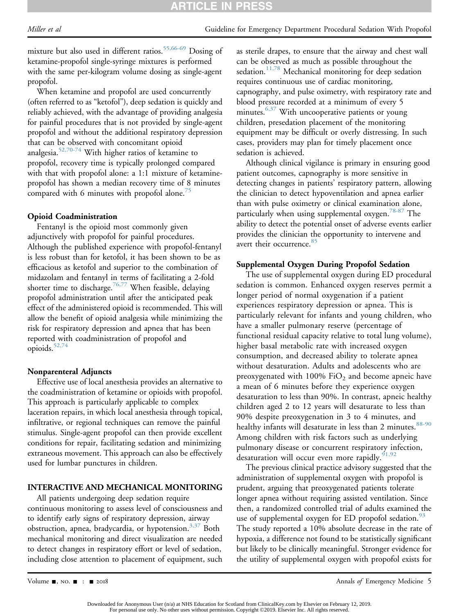mixture but also used in different ratios.[55,66-69](#page-8-9) Dosing of ketamine-propofol single-syringe mixtures is performed with the same per-kilogram volume dosing as single-agent propofol.

When ketamine and propofol are used concurrently (often referred to as "ketofol"), deep sedation is quickly and reliably achieved, with the advantage of providing analgesia for painful procedures that is not provided by single-agent propofol and without the additional respiratory depression that can be observed with concomitant opioid analgesia. $52,70-74$  With higher ratios of ketamine to propofol, recovery time is typically prolonged compared with that with propofol alone: a 1:1 mixture of ketaminepropofol has shown a median recovery time of 8 minutes compared with 6 minutes with propofol alone. $\sqrt{2}$ 

#### Opioid Coadministration

Fentanyl is the opioid most commonly given adjunctively with propofol for painful procedures. Although the published experience with propofol-fentanyl is less robust than for ketofol, it has been shown to be as efficacious as ketofol and superior to the combination of midazolam and fentanyl in terms of facilitating a 2-fold shorter time to discharge.<sup>[76,77](#page-8-11)</sup> When feasible, delaying propofol administration until after the anticipated peak effect of the administered opioid is recommended. This will allow the benefit of opioid analgesia while minimizing the risk for respiratory depression and apnea that has been reported with coadministration of propofol and opioids.<sup>52,74</sup>

#### Nonparenteral Adjuncts

Effective use of local anesthesia provides an alternative to the coadministration of ketamine or opioids with propofol. This approach is particularly applicable to complex laceration repairs, in which local anesthesia through topical, infiltrative, or regional techniques can remove the painful stimulus. Single-agent propofol can then provide excellent conditions for repair, facilitating sedation and minimizing extraneous movement. This approach can also be effectively used for lumbar punctures in children.

#### INTERACTIVE AND MECHANICAL MONITORING

All patients undergoing deep sedation require continuous monitoring to assess level of consciousness and to identify early signs of respiratory depression, airway obstruction, apnea, bradycardia, or hypotension.<sup>3,37</sup> Both mechanical monitoring and direct visualization are needed to detect changes in respiratory effort or level of sedation, including close attention to placement of equipment, such

as sterile drapes, to ensure that the airway and chest wall can be observed as much as possible throughout the sedation.<sup>[11,78](#page-7-15)</sup> Mechanical monitoring for deep sedation requires continuous use of cardiac monitoring, capnography, and pulse oximetry, with respiratory rate and blood pressure recorded at a minimum of every 5 minutes.<sup>[6,37](#page-6-4)</sup> With uncooperative patients or young children, presedation placement of the monitoring equipment may be difficult or overly distressing. In such cases, providers may plan for timely placement once sedation is achieved.

Although clinical vigilance is primary in ensuring good patient outcomes, capnography is more sensitive in detecting changes in patients' respiratory pattern, allowing the clinician to detect hypoventilation and apnea earlier than with pulse oximetry or clinical examination alone, particularly when using supplemental oxygen.<sup>78-87</sup> The ability to detect the potential onset of adverse events earlier provides the clinician the opportunity to intervene and avert their occurrence.<sup>[85](#page-8-13)</sup>

#### Supplemental Oxygen During Propofol Sedation

The use of supplemental oxygen during ED procedural sedation is common. Enhanced oxygen reserves permit a longer period of normal oxygenation if a patient experiences respiratory depression or apnea. This is particularly relevant for infants and young children, who have a smaller pulmonary reserve (percentage of functional residual capacity relative to total lung volume), higher basal metabolic rate with increased oxygen consumption, and decreased ability to tolerate apnea without desaturation. Adults and adolescents who are preoxygenated with 100%  $FiO<sub>2</sub>$  and become apneic have a mean of 6 minutes before they experience oxygen desaturation to less than 90%. In contrast, apneic healthy children aged 2 to 12 years will desaturate to less than 90% despite preoxygenation in 3 to 4 minutes, and healthy infants will desaturate in less than 2 minutes. [88-90](#page-9-0) Among children with risk factors such as underlying pulmonary disease or concurrent respiratory infection, desaturation will occur even more rapidly.  $91,92$ 

The previous clinical practice advisory suggested that the administration of supplemental oxygen with propofol is prudent, arguing that preoxygenated patients tolerate longer apnea without requiring assisted ventilation. Since then, a randomized controlled trial of adults examined the use of supplemental oxygen for ED propofol sedation.<sup>[93](#page-9-2)</sup> The study reported a 10% absolute decrease in the rate of hypoxia, a difference not found to be statistically significant but likely to be clinically meaningful. Stronger evidence for the utility of supplemental oxygen with propofol exists for

Volume  $\blacksquare$ , NO.  $\blacksquare$  :  $\blacksquare$  2018

Downloaded for Anonymous User (n/a) at NHS Education for Scotland from ClinicalKey.com by Elsevier on February 12, 2019. For personal use only. No other uses without permission. Copyright ©2019. Elsevier Inc. All rights reserved.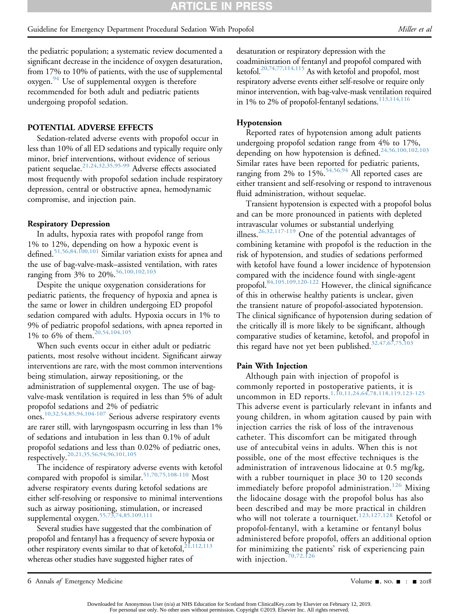the pediatric population; a systematic review documented a significant decrease in the incidence of oxygen desaturation, from 17% to 10% of patients, with the use of supplemental oxygen.<sup>94</sup> Use of supplemental oxygen is therefore recommended for both adult and pediatric patients undergoing propofol sedation.

#### POTENTIAL ADVERSE EFFECTS

Sedation-related adverse events with propofol occur in less than 10% of all ED sedations and typically require only minor, brief interventions, without evidence of serious patient sequelae.<sup>[21,24,32,35,95-99](#page-7-13)</sup> Adverse effects associated most frequently with propofol sedation include respiratory depression, central or obstructive apnea, hemodynamic compromise, and injection pain.

#### Respiratory Depression

In adults, hypoxia rates with propofol range from 1% to 12%, depending on how a hypoxic event is defined.[51,56,84,100,101](#page-8-14) Similar variation exists for apnea and the use of bag-valve-mask–assisted ventilation, with rates ranging from 3% to 20%.<sup>[56,100,102,103](#page-8-15)</sup>

Despite the unique oxygenation considerations for pediatric patients, the frequency of hypoxia and apnea is the same or lower in children undergoing ED propofol sedation compared with adults. Hypoxia occurs in 1% to 9% of pediatric propofol sedations, with apnea reported in 1% to 6% of them.[20,54,104,105](#page-7-4)

When such events occur in either adult or pediatric patients, most resolve without incident. Significant airway interventions are rare, with the most common interventions being stimulation, airway repositioning, or the administration of supplemental oxygen. The use of bagvalve-mask ventilation is required in less than 5% of adult propofol sedations and 2% of pediatric ones.[10,32,54,85,94,104-107](#page-7-14) Serious adverse respiratory events are rarer still, with laryngospasm occurring in less than 1% of sedations and intubation in less than 0.1% of adult propofol sedations and less than 0.02% of pediatric ones, respectively.<sup>[20,21,35,56,94,96,101,105](#page-7-4)</sup>

The incidence of respiratory adverse events with ketofol compared with propofol is similar.<sup>51,70,75,108-110</sup> Most adverse respiratory events during ketofol sedations are either self-resolving or responsive to minimal interventions such as airway positioning, stimulation, or increased supplemental oxygen.<sup>[55,73,74,85,109,111](#page-8-9)</sup>

Several studies have suggested that the combination of propofol and fentanyl has a frequency of severe hypoxia or other respiratory events similar to that of ketofol,  $21,112,113$ whereas other studies have suggested higher rates of

desaturation or respiratory depression with the coadministration of fentanyl and propofol compared with ketofol[.20,74,77,114,115](#page-7-4) As with ketofol and propofol, most respiratory adverse events either self-resolve or require only minor intervention, with bag-valve-mask ventilation required in 1% to 2% of propofol-fentanyl sedations. $113,114,116$ 

#### Hypotension

Reported rates of hypotension among adult patients undergoing propofol sedation range from 4% to 17%, depending on how hypotension is defined.[24,56,100,102,103](#page-7-5) Similar rates have been reported for pediatric patients, ranging from 2% to  $15\%$ <sup>[54,56,94](#page-8-16)</sup> All reported cases are either transient and self-resolving or respond to intravenous fluid administration, without sequelae.

Transient hypotension is expected with a propofol bolus and can be more pronounced in patients with depleted intravascular volumes or substantial underlying illness[.26,32,117-119](#page-7-11) One of the potential advantages of combining ketamine with propofol is the reduction in the risk of hypotension, and studies of sedations performed with ketofol have found a lower incidence of hypotension compared with the incidence found with single-agent propofol[.84,105,109,120-122](#page-8-17) However, the clinical significance of this in otherwise healthy patients is unclear, given the transient nature of propofol-associated hypotension. The clinical significance of hypotension during sedation of the critically ill is more likely to be significant, although comparative studies of ketamine, ketofol, and propofol in this regard have not yet been published. $32,47,67,75,103$ 

#### Pain With Injection

Although pain with injection of propofol is commonly reported in postoperative patients, it is uncommon in ED reports.<sup>[1,10,11,24,64,78,118,119,123-125](#page-6-0)</sup>

This adverse event is particularly relevant in infants and young children, in whom agitation caused by pain with injection carries the risk of loss of the intravenous catheter. This discomfort can be mitigated through use of antecubital veins in adults. When this is not possible, one of the most effective techniques is the administration of intravenous lidocaine at 0.5 mg/kg, with a rubber tourniquet in place 30 to 120 seconds immediately before propofol administration.<sup>[126](#page-9-5)</sup> Mixing the lidocaine dosage with the propofol bolus has also been described and may be more practical in children who will not tolerate a tourniquet.<sup>[123,127,128](#page-9-6)</sup> Ketofol or propofol-fentanyl, with a ketamine or fentanyl bolus administered before propofol, offers an additional option for minimizing the patients' risk of experiencing pain with injection.<sup>[70,72,126](#page-8-18)</sup>

<sup>6</sup> Annals of Emergency Medicine **Contract Contract Contract Contract Contract Contract Contract Contract Contract Contract Contract Contract Contract Contract Contract Contract Contract Contract Contract Contract Contract C**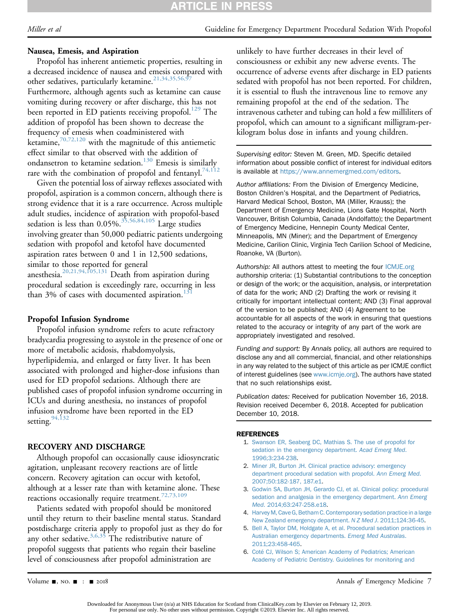# **ARTICLE IN PRESS**

#### Nausea, Emesis, and Aspiration

Propofol has inherent antiemetic properties, resulting in a decreased incidence of nausea and emesis compared with other sedatives, particularly ketamine.<sup>21,34,35,56,97</sup> Furthermore, although agents such as ketamine can cause vomiting during recovery or after discharge, this has not been reported in ED patients receiving propofol.<sup>129</sup> The

addition of propofol has been shown to decrease the frequency of emesis when coadministered with ketamine,  $70,72,120$  with the magnitude of this antiemetic effect similar to that observed with the addition of ondansetron to ketamine sedation.<sup>130</sup> Emesis is similarly rare with the combination of propofol and fentanyl.<sup>[74,112](#page-8-19)</sup>

Given the potential loss of airway reflexes associated with propofol, aspiration is a common concern, although there is strong evidence that it is a rare occurrence. Across multiple adult studies, incidence of aspiration with propofol-based sedation is less than  $0.05\%$ .<sup>35,56,84,105</sup> Large studies involving greater than 50,000 pediatric patients undergoing sedation with propofol and ketofol have documented aspiration rates between 0 and 1 in 12,500 sedations, similar to those reported for general anesthesia[.20,21,94,105,131](#page-7-4) Death from aspiration during procedural sedation is exceedingly rare, occurring in less than 3% of cases with documented aspiration.

#### Propofol Infusion Syndrome

Propofol infusion syndrome refers to acute refractory bradycardia progressing to asystole in the presence of one or more of metabolic acidosis, rhabdomyolysis, hyperlipidemia, and enlarged or fatty liver. It has been associated with prolonged and higher-dose infusions than used for ED propofol sedations. Although there are published cases of propofol infusion syndrome occurring in ICUs and during anesthesia, no instances of propofol infusion syndrome have been reported in the ED setting. 94,132

# RECOVERY AND DISCHARGE

Although propofol can occasionally cause idiosyncratic agitation, unpleasant recovery reactions are of little concern. Recovery agitation can occur with ketofol, although at a lesser rate than with ketamine alone. These reactions occasionally require treatment.<sup>[72,73,109](#page-8-20)</sup>

Patients sedated with propofol should be monitored until they return to their baseline mental status. Standard postdischarge criteria apply to propofol just as they do for any other sedative. $3,6,35$  The redistributive nature of propofol suggests that patients who regain their baseline level of consciousness after propofol administration are

unlikely to have further decreases in their level of consciousness or exhibit any new adverse events. The occurrence of adverse events after discharge in ED patients sedated with propofol has not been reported. For children, it is essential to flush the intravenous line to remove any remaining propofol at the end of the sedation. The intravenous catheter and tubing can hold a few milliliters of propofol, which can amount to a significant milligram-perkilogram bolus dose in infants and young children.

Supervising editor: Steven M. Green, MD. Specific detailed information about possible conflict of interest for individual editors is available at [https://www.annemergmed.com/editors.](https://www.annemergmed.com/editors)

Author affiliations: From the Division of Emergency Medicine, Boston Children's Hospital, and the Department of Pediatrics, Harvard Medical School, Boston, MA (Miller, Krauss); the Department of Emergency Medicine, Lions Gate Hospital, North Vancouver, British Columbia, Canada (Andolfatto); the Department of Emergency Medicine, Hennepin County Medical Center, Minneapolis, MN (Miner); and the Department of Emergency Medicine, Carilion Clinic, Virginia Tech Carilion School of Medicine, Roanoke, VA (Burton).

Authorship: All authors attest to meeting the four [ICMJE.org](http://ICMJE.org) authorship criteria: (1) Substantial contributions to the conception or design of the work; or the acquisition, analysis, or interpretation of data for the work; AND (2) Drafting the work or revising it critically for important intellectual content; AND (3) Final approval of the version to be published; AND (4) Agreement to be accountable for all aspects of the work in ensuring that questions related to the accuracy or integrity of any part of the work are appropriately investigated and resolved.

Funding and support: By Annals policy, all authors are required to disclose any and all commercial, financial, and other relationships in any way related to the subject of this article as per ICMJE conflict of interest guidelines (see [www.icmje.org](http://www.icmje.org)). The authors have stated that no such relationships exist.

Publication dates: Received for publication November 16, 2018. Revision received December 6, 2018. Accepted for publication December 10, 2018.

#### **REFERENCES**

- <span id="page-6-4"></span><span id="page-6-3"></span><span id="page-6-2"></span><span id="page-6-1"></span><span id="page-6-0"></span>1. [Swanson ER, Seaberg DC, Mathias S. The use of propofol for](http://refhub.elsevier.com/S0196-0644(18)31576-2/sref1) [sedation in the emergency department.](http://refhub.elsevier.com/S0196-0644(18)31576-2/sref1) Acad Emerg Med. [1996;3:234-238](http://refhub.elsevier.com/S0196-0644(18)31576-2/sref1).
	- 2. [Miner JR, Burton JH. Clinical practice advisory: emergency](http://refhub.elsevier.com/S0196-0644(18)31576-2/sref2) [department procedural sedation with propofol.](http://refhub.elsevier.com/S0196-0644(18)31576-2/sref2) Ann Emerg Med. [2007;50:182-187, 187.e1](http://refhub.elsevier.com/S0196-0644(18)31576-2/sref2).
	- 3. [Godwin SA, Burton JH, Gerardo CJ, et al. Clinical policy: procedural](http://refhub.elsevier.com/S0196-0644(18)31576-2/sref3) [sedation and analgesia in the emergency department.](http://refhub.elsevier.com/S0196-0644(18)31576-2/sref3) Ann Emerg Med[. 2014;63:247-258.e18](http://refhub.elsevier.com/S0196-0644(18)31576-2/sref3).
	- 4. [Harvey M, Cave G, Betham C. Contemporary sedation practice in a large](http://refhub.elsevier.com/S0196-0644(18)31576-2/sref4) [New Zealand emergency department.](http://refhub.elsevier.com/S0196-0644(18)31576-2/sref4) N Z Med J. 2011;124:36-45.
	- 5. [Bell A, Taylor DM, Holdgate A, et al. Procedural sedation practices in](http://refhub.elsevier.com/S0196-0644(18)31576-2/sref5) [Australian emergency departments.](http://refhub.elsevier.com/S0196-0644(18)31576-2/sref5) Emerg Med Australas. [2011;23:458-465.](http://refhub.elsevier.com/S0196-0644(18)31576-2/sref5)
	- 6. [Coté CJ, Wilson S; American Academy of Pediatrics; American](http://refhub.elsevier.com/S0196-0644(18)31576-2/sref6) [Academy of Pediatric Dentistry. Guidelines for monitoring and](http://refhub.elsevier.com/S0196-0644(18)31576-2/sref6)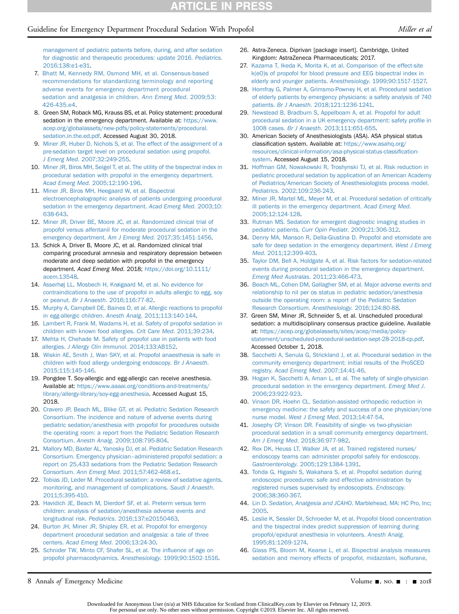#### Guideline for Emergency Department Procedural Sedation With Propofol Miller et al. Miller et al.

- 7. [Bhatt M, Kennedy RM, Osmond MH, et al. Consensus-based](http://refhub.elsevier.com/S0196-0644(18)31576-2/sref7) [recommendations for standardizing terminology and reporting](http://refhub.elsevier.com/S0196-0644(18)31576-2/sref7) [adverse events for emergency department procedural](http://refhub.elsevier.com/S0196-0644(18)31576-2/sref7) [sedation and analgesia in children.](http://refhub.elsevier.com/S0196-0644(18)31576-2/sref7) Ann Emerg Med. 2009;53: [426-435.e4](http://refhub.elsevier.com/S0196-0644(18)31576-2/sref7).
- 8. Green SM, Roback MG, Krauss BS, et al. Policy statement: procedural sedation in the emergency department. Available at: [https://www.](https://www.acep.org/globalassets/new-pdfs/policy-statements/procedural.sedation.in.the.ed.pdf) [acep.org/globalassets/new-pdfs/policy-statements/procedural.](https://www.acep.org/globalassets/new-pdfs/policy-statements/procedural.sedation.in.the.ed.pdf) [sedation.in.the.ed.pdf](https://www.acep.org/globalassets/new-pdfs/policy-statements/procedural.sedation.in.the.ed.pdf). Accessed August 30, 2018.
- <span id="page-7-0"></span>9. [Miner JR, Huber D, Nichols S, et al. The effect of the assignment of a](http://refhub.elsevier.com/S0196-0644(18)31576-2/sref9) [pre-sedation target level on procedural sedation using propofol.](http://refhub.elsevier.com/S0196-0644(18)31576-2/sref9) J Emerg Med[. 2007;32:249-255.](http://refhub.elsevier.com/S0196-0644(18)31576-2/sref9)
- <span id="page-7-14"></span>10. [Miner JR, Biros MH, Seigel T, et al. The utility of the bispectral index in](http://refhub.elsevier.com/S0196-0644(18)31576-2/sref10) [procedural sedation with propofol in the emergency department.](http://refhub.elsevier.com/S0196-0644(18)31576-2/sref10) Acad Emerg Med[. 2005;12:190-196](http://refhub.elsevier.com/S0196-0644(18)31576-2/sref10).
- <span id="page-7-15"></span>11. [Miner JR, Biros MH, Heegaard W, et al. Bispectral](http://refhub.elsevier.com/S0196-0644(18)31576-2/sref11) [electroencephalographic analysis of patients undergoing procedural](http://refhub.elsevier.com/S0196-0644(18)31576-2/sref11) [sedation in the emergency department.](http://refhub.elsevier.com/S0196-0644(18)31576-2/sref11) Acad Emerg Med. 2003;10: [638-643.](http://refhub.elsevier.com/S0196-0644(18)31576-2/sref11)
- 12. [Miner JR, Driver BE, Moore JC, et al. Randomized clinical trial of](http://refhub.elsevier.com/S0196-0644(18)31576-2/sref12) [propofol versus alfentanil for moderate procedural sedation in the](http://refhub.elsevier.com/S0196-0644(18)31576-2/sref12) [emergency department.](http://refhub.elsevier.com/S0196-0644(18)31576-2/sref12) Am J Emerg Med. 2017;35:1451-1456.
- 13. Schick A, Driver B, Moore JC, et al. Randomized clinical trial comparing procedural amnesia and respiratory depression between moderate and deep sedation with propofol in the emergency department. Acad Emerg Med. 2018; [https://doi.org/10.1111/](https://doi.org/10.1111/acem.13548) [acem.13548](https://doi.org/10.1111/acem.13548).
- <span id="page-7-1"></span>14. [Asserhøj LL, Mosbech H, Krøigaard M, et al. No evidence for](http://refhub.elsevier.com/S0196-0644(18)31576-2/sref14) [contraindications to the use of propofol in adults allergic to egg, soy](http://refhub.elsevier.com/S0196-0644(18)31576-2/sref14) or peanut. Br J Anaesth[. 2016;116:77-82](http://refhub.elsevier.com/S0196-0644(18)31576-2/sref14).
- <span id="page-7-2"></span>15. [Murphy A, Campbell DE, Baines D, et al. Allergic reactions to propofol](http://refhub.elsevier.com/S0196-0644(18)31576-2/sref15) [in egg-allergic children.](http://refhub.elsevier.com/S0196-0644(18)31576-2/sref15) Anesth Analg. 2011;113:140-144.
- 16. [Lambert R, Frank M, Wadams H, et al. Safety of propofol sedation in](http://refhub.elsevier.com/S0196-0644(18)31576-2/sref16) [children with known food allergies.](http://refhub.elsevier.com/S0196-0644(18)31576-2/sref16) Crit Care Med. 2011;39:234.
- 17. [Mehta H, Chehade M. Safety of propofol use in patients with food](http://refhub.elsevier.com/S0196-0644(18)31576-2/sref17) allergies. [J Allergy Clin Immunol](http://refhub.elsevier.com/S0196-0644(18)31576-2/sref17). 2014;133:AB152.
- 18. [Wiskin AE, Smith J, Wan SKY, et al. Propofol anaesthesia is safe in](http://refhub.elsevier.com/S0196-0644(18)31576-2/sref18) [children with food allergy undergoing endoscopy.](http://refhub.elsevier.com/S0196-0644(18)31576-2/sref18) Br J Anaesth. [2015;115:145-146](http://refhub.elsevier.com/S0196-0644(18)31576-2/sref18).
- <span id="page-7-3"></span>19. Pongdee T. Soy-allergic and egg-allergic can receive anesthesia. Available at: [https://www.aaaai.org/conditions-and-treatments/](https://www.aaaai.org/conditions-and-treatments/library/allergy-library/soy-egg-anesthesia) [library/allergy-library/soy-egg-anesthesia.](https://www.aaaai.org/conditions-and-treatments/library/allergy-library/soy-egg-anesthesia) Accessed August 15, 2018.
- <span id="page-7-4"></span>20. [Cravero JP, Beach ML, Blike GT, et al. Pediatric Sedation Research](http://refhub.elsevier.com/S0196-0644(18)31576-2/sref20) [Consortium. The incidence and nature of adverse events during](http://refhub.elsevier.com/S0196-0644(18)31576-2/sref20) [pediatric sedation/anesthesia with propofol for procedures outside](http://refhub.elsevier.com/S0196-0644(18)31576-2/sref20) [the operating room: a report from the Pediatric Sedation Research](http://refhub.elsevier.com/S0196-0644(18)31576-2/sref20) Consortium. Anesth Analg[. 2009;108:795-804](http://refhub.elsevier.com/S0196-0644(18)31576-2/sref20).
- <span id="page-7-13"></span>21. [Mallory MD, Baxter AL, Yanosky DJ, et al. Pediatric Sedation Research](http://refhub.elsevier.com/S0196-0644(18)31576-2/sref21) [Consortium. Emergency physician](http://refhub.elsevier.com/S0196-0644(18)31576-2/sref21)–[administered propofol sedation: a](http://refhub.elsevier.com/S0196-0644(18)31576-2/sref21) [report on 25,433 sedations from the Pediatric Sedation Research](http://refhub.elsevier.com/S0196-0644(18)31576-2/sref21) Consortium. Ann Emerg Med[. 2011;57:462-468.e1](http://refhub.elsevier.com/S0196-0644(18)31576-2/sref21).
- 22. [Tobias JD, Leder M. Procedural sedation: a review of sedative agents,](http://refhub.elsevier.com/S0196-0644(18)31576-2/sref22) [monitoring, and management of complications.](http://refhub.elsevier.com/S0196-0644(18)31576-2/sref22) Saudi J Anaesth. [2011;5:395-410.](http://refhub.elsevier.com/S0196-0644(18)31576-2/sref22)
- 23. [Havidich JE, Beach M, Dierdorf SF, et al. Preterm versus term](http://refhub.elsevier.com/S0196-0644(18)31576-2/sref23) [children: analysis of sedation/anesthesia adverse events and](http://refhub.elsevier.com/S0196-0644(18)31576-2/sref23) longitudinal risk. Pediatrics[. 2016;137:e20150463.](http://refhub.elsevier.com/S0196-0644(18)31576-2/sref23)
- <span id="page-7-5"></span>24. [Burton JH, Miner JR, Shipley ER, et al. Propofol for emergency](http://refhub.elsevier.com/S0196-0644(18)31576-2/sref24) [department procedural sedation and analgesia: a tale of three](http://refhub.elsevier.com/S0196-0644(18)31576-2/sref24) centers. [Acad Emerg Med](http://refhub.elsevier.com/S0196-0644(18)31576-2/sref24). 2006;13:24-30.
- 25. [Schnider TW, Minto CF, Shafer SL, et al. The in](http://refhub.elsevier.com/S0196-0644(18)31576-2/sref25)fluence of age on [propofol pharmacodynamics.](http://refhub.elsevier.com/S0196-0644(18)31576-2/sref25) Anesthesiology. 1999;90:1502-1516.
- <span id="page-7-11"></span>26. Astra-Zeneca. Diprivan [package insert]. Cambridge, United Kingdom: AstraZeneca Pharmaceuticals; 2017.
- 27. [Kazama T, Ikeda K, Morita K, et al. Comparison of the effect-site](http://refhub.elsevier.com/S0196-0644(18)31576-2/sref27) [k\(eO\)s of propofol for blood pressure and EEG bispectral index in](http://refhub.elsevier.com/S0196-0644(18)31576-2/sref27) [elderly and younger patients.](http://refhub.elsevier.com/S0196-0644(18)31576-2/sref27) Anesthesiology. 1999;90:1517-1527.
- <span id="page-7-12"></span>28. [Homfray G, Palmer A, Grimsmo-Powney H, et al. Procedural sedation](http://refhub.elsevier.com/S0196-0644(18)31576-2/sref28) [of elderly patients by emergency physicians: a safety analysis of 740](http://refhub.elsevier.com/S0196-0644(18)31576-2/sref28) patients. Br J Anaesth[. 2018;121:1236-1241.](http://refhub.elsevier.com/S0196-0644(18)31576-2/sref28)
- 29. [Newstead B, Bradburn S, Appelboam A, et al. Propofol for adult](http://refhub.elsevier.com/S0196-0644(18)31576-2/sref29) [procedural sedation in a UK emergency department: safety pro](http://refhub.elsevier.com/S0196-0644(18)31576-2/sref29)file in 1008 cases. Br J Anaesth[. 2013;111:651-655](http://refhub.elsevier.com/S0196-0644(18)31576-2/sref29).
- <span id="page-7-6"></span>30. American Society of Anesthesiologists (ASA). ASA physical status classification system. Available at: [https://www.asahq.org/](https://www.asahq.org/resources/clinical-information/asa-physical-status-classification-system) [resources/clinical-information/asa-physical-status-classi](https://www.asahq.org/resources/clinical-information/asa-physical-status-classification-system)fication[system.](https://www.asahq.org/resources/clinical-information/asa-physical-status-classification-system) Accessed August 15, 2018.
- 31. [Hoffman GM, Nowakowski R, Troshynski TJ, et al. Risk reduction in](http://refhub.elsevier.com/S0196-0644(18)31576-2/sref31) [pediatric procedural sedation by application of an American Academy](http://refhub.elsevier.com/S0196-0644(18)31576-2/sref31) [of Pediatrics/American Society of Anesthesiologists process model.](http://refhub.elsevier.com/S0196-0644(18)31576-2/sref31) Pediatrics[. 2002;109:236-243](http://refhub.elsevier.com/S0196-0644(18)31576-2/sref31).
- <span id="page-7-7"></span>32. [Miner JR, Martel ML, Meyer M, et al. Procedural sedation of critically](http://refhub.elsevier.com/S0196-0644(18)31576-2/sref32) [ill patients in the emergency department.](http://refhub.elsevier.com/S0196-0644(18)31576-2/sref32) Acad Emerg Med. [2005;12:124-128.](http://refhub.elsevier.com/S0196-0644(18)31576-2/sref32)
- 33. [Rutman MS. Sedation for emergent diagnostic imaging studies in](http://refhub.elsevier.com/S0196-0644(18)31576-2/sref33) pediatric patients. Curr Opin Pediatr[. 2009;21:306-312](http://refhub.elsevier.com/S0196-0644(18)31576-2/sref33).
- 34. [Denny MA, Manson R, Della-Giustina D. Propofol and etomidate are](http://refhub.elsevier.com/S0196-0644(18)31576-2/sref34) [safe for deep sedation in the emergency department.](http://refhub.elsevier.com/S0196-0644(18)31576-2/sref34) West J Emerg Med[. 2011;12:399-403](http://refhub.elsevier.com/S0196-0644(18)31576-2/sref34).
- <span id="page-7-16"></span>35. [Taylor DM, Bell A, Holdgate A, et al. Risk factors for sedation-related](http://refhub.elsevier.com/S0196-0644(18)31576-2/sref35) [events during procedural sedation in the emergency department.](http://refhub.elsevier.com/S0196-0644(18)31576-2/sref35) [Emerg Med Australas](http://refhub.elsevier.com/S0196-0644(18)31576-2/sref35). 2011;23:466-473.
- 36. [Beach ML, Cohen DM, Gallagher SM, et al. Major adverse events and](http://refhub.elsevier.com/S0196-0644(18)31576-2/sref36) [relationship to nil per os status in pediatric sedation/anesthesia](http://refhub.elsevier.com/S0196-0644(18)31576-2/sref36) [outside the operating room: a report of the Pediatric Sedation](http://refhub.elsevier.com/S0196-0644(18)31576-2/sref36) [Research Consortium.](http://refhub.elsevier.com/S0196-0644(18)31576-2/sref36) Anesthesiology. 2016;124:80-88.
- <span id="page-7-8"></span>37. Green SM, Miner JR, Schneider S, et al. Unscheduled procedural sedation: a multidisciplinary consensus practice guideline. Available at: [https://acep.org/globalassets/sites/acep/media/policy](https://acep.org/globalassets/sites/acep/media/policy-statement/unscheduled-procedural-sedation-sept-28-2018-cp.pdf)[statement/unscheduled-procedural-sedation-sept-28-2018-cp.pdf.](https://acep.org/globalassets/sites/acep/media/policy-statement/unscheduled-procedural-sedation-sept-28-2018-cp.pdf) Accessed October 1, 2018.
- <span id="page-7-9"></span>38. [Sacchetti A, Senula G, Strickland J, et al. Procedural sedation in the](http://refhub.elsevier.com/S0196-0644(18)31576-2/sref38) [community emergency department: initial results of the ProSCED](http://refhub.elsevier.com/S0196-0644(18)31576-2/sref38) registry. [Acad Emerg Med](http://refhub.elsevier.com/S0196-0644(18)31576-2/sref38). 2007;14:41-46.
- 39. [Hogan K, Sacchetti A, Aman L, et al. The safety of single-physician](http://refhub.elsevier.com/S0196-0644(18)31576-2/sref39) [procedural sedation in the emergency department.](http://refhub.elsevier.com/S0196-0644(18)31576-2/sref39) Emerg Med J. [2006;23:922-923](http://refhub.elsevier.com/S0196-0644(18)31576-2/sref39).
- 40. [Vinson DR, Hoehn CL. Sedation-assisted orthopedic reduction in](http://refhub.elsevier.com/S0196-0644(18)31576-2/sref40) [emergency medicine: the safety and success of a one physician/one](http://refhub.elsevier.com/S0196-0644(18)31576-2/sref40) nurse model. [West J Emerg Med](http://refhub.elsevier.com/S0196-0644(18)31576-2/sref40). 2013;14:47-54.
- 41. [Josephy CP, Vinson DR. Feasibility of single- vs two-physician](http://refhub.elsevier.com/S0196-0644(18)31576-2/sref41) [procedural sedation in a small community emergency department.](http://refhub.elsevier.com/S0196-0644(18)31576-2/sref41) Am J Emerg Med[. 2018;36:977-982](http://refhub.elsevier.com/S0196-0644(18)31576-2/sref41).
- <span id="page-7-10"></span>42. [Rex DK, Heuss LT, Walker JA, et al. Trained registered nurses/](http://refhub.elsevier.com/S0196-0644(18)31576-2/sref42) [endoscopy teams can administer propofol safely for endoscopy.](http://refhub.elsevier.com/S0196-0644(18)31576-2/sref42) Gastroenterology[. 2005;129:1384-1391.](http://refhub.elsevier.com/S0196-0644(18)31576-2/sref42)
- 43. [Tohda G, Higashi S, Wakahara S, et al. Propofol sedation during](http://refhub.elsevier.com/S0196-0644(18)31576-2/sref43) [endoscopic procedures: safe and effective administration by](http://refhub.elsevier.com/S0196-0644(18)31576-2/sref43) [registered nurses supervised by endoscopists.](http://refhub.elsevier.com/S0196-0644(18)31576-2/sref43) Endoscopy. [2006;38:360-367.](http://refhub.elsevier.com/S0196-0644(18)31576-2/sref43)
- 44. Lin D. [Sedation, Analgesia and JCAHO](http://refhub.elsevier.com/S0196-0644(18)31576-2/sref44). Marblehead, MA: HC Pro, Inc; [2005](http://refhub.elsevier.com/S0196-0644(18)31576-2/sref44).
- 45. [Leslie K, Sessler DI, Schroeder M, et al. Propofol blood concentration](http://refhub.elsevier.com/S0196-0644(18)31576-2/sref45) [and the bispectral index predict suppression of learning during](http://refhub.elsevier.com/S0196-0644(18)31576-2/sref45) [propofol/epidural anesthesia in volunteers.](http://refhub.elsevier.com/S0196-0644(18)31576-2/sref45) Anesth Analg. [1995;81:1269-1274.](http://refhub.elsevier.com/S0196-0644(18)31576-2/sref45)
- 46. [Glass PS, Bloom M, Kearse L, et al. Bispectral analysis measures](http://refhub.elsevier.com/S0196-0644(18)31576-2/sref46) [sedation and memory effects of propofol, midazolam, iso](http://refhub.elsevier.com/S0196-0644(18)31576-2/sref46)flurane,

8 Annals of Emergency Medicine Contract Contract Contract Contract Contract Contract Contract Contract Contract Contract Oriental Application of Emergency Medicine Contract Contract Contract Contract Contract Contract Cont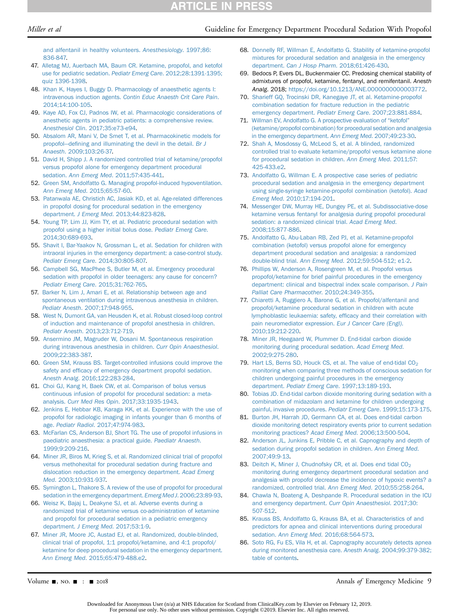#### Miller et al Guideline for Emergency Department Procedural Sedation With Propofol

[and alfentanil in healthy volunteers.](http://refhub.elsevier.com/S0196-0644(18)31576-2/sref46) Anesthesiology. 1997;86: [836-847.](http://refhub.elsevier.com/S0196-0644(18)31576-2/sref46)

- <span id="page-8-1"></span>47. [Alletag MJ, Auerbach MA, Baum CR. Ketamine, propofol, and ketofol](http://refhub.elsevier.com/S0196-0644(18)31576-2/sref47) [use for pediatric sedation.](http://refhub.elsevier.com/S0196-0644(18)31576-2/sref47) Pediatr Emerg Care. 2012;28:1391-1395; [quiz 1396-1398](http://refhub.elsevier.com/S0196-0644(18)31576-2/sref47).
- 48. [Khan K, Hayes I, Buggy D. Pharmacology of anaesthetic agents I:](http://refhub.elsevier.com/S0196-0644(18)31576-2/sref48) intravenous induction agents. [Contin Educ Anaesth Crit Care Pain](http://refhub.elsevier.com/S0196-0644(18)31576-2/sref48). [2014;14:100-105](http://refhub.elsevier.com/S0196-0644(18)31576-2/sref48).
- 49. [Kaye AD, Fox CJ, Padnos IW, et al. Pharmacologic considerations of](http://refhub.elsevier.com/S0196-0644(18)31576-2/sref49) [anesthetic agents in pediatric patients: a comprehensive review.](http://refhub.elsevier.com/S0196-0644(18)31576-2/sref49) Anesthesiol Clin[. 2017;35:e73-e94](http://refhub.elsevier.com/S0196-0644(18)31576-2/sref49).
- <span id="page-8-0"></span>50. [Absalom AR, Mani V, De Smet T, et al. Pharmacokinetic models for](http://refhub.elsevier.com/S0196-0644(18)31576-2/sref50) [propofol](http://refhub.elsevier.com/S0196-0644(18)31576-2/sref50)—defi[ning and illuminating the devil in the detail.](http://refhub.elsevier.com/S0196-0644(18)31576-2/sref50) Br J Anaesth[. 2009;103:26-37.](http://refhub.elsevier.com/S0196-0644(18)31576-2/sref50)
- <span id="page-8-14"></span>51. [David H, Shipp J. A randomized controlled trial of ketamine/propofol](http://refhub.elsevier.com/S0196-0644(18)31576-2/sref51) [versus propofol alone for emergency department procedural](http://refhub.elsevier.com/S0196-0644(18)31576-2/sref51) sedation. Ann Emerg Med[. 2011;57:435-441.](http://refhub.elsevier.com/S0196-0644(18)31576-2/sref51)
- <span id="page-8-8"></span>52. [Green SM, Andolfatto G. Managing propofol-induced hypoventilation.](http://refhub.elsevier.com/S0196-0644(18)31576-2/sref52) Ann Emerg Med[. 2015;65:57-60.](http://refhub.elsevier.com/S0196-0644(18)31576-2/sref52)
- 53. [Patanwala AE, Christich AC, Jasiak KD, et al. Age-related differences](http://refhub.elsevier.com/S0196-0644(18)31576-2/sref53) [in propofol dosing for procedural sedation in the emergency](http://refhub.elsevier.com/S0196-0644(18)31576-2/sref53) department. J Emerg Med[. 2013;44:823-828](http://refhub.elsevier.com/S0196-0644(18)31576-2/sref53).
- <span id="page-8-16"></span>54. [Young TP, Lim JJ, Kim TY, et al. Pediatric procedural sedation with](http://refhub.elsevier.com/S0196-0644(18)31576-2/sref54) [propofol using a higher initial bolus dose.](http://refhub.elsevier.com/S0196-0644(18)31576-2/sref54) Pediatr Emerg Care. [2014;30:689-693](http://refhub.elsevier.com/S0196-0644(18)31576-2/sref54).
- <span id="page-8-9"></span>55. [Shavit I, Bar-Yaakov N, Grossman L, et al. Sedation for children with](http://refhub.elsevier.com/S0196-0644(18)31576-2/sref55) [intraoral injuries in the emergency department: a case-control study.](http://refhub.elsevier.com/S0196-0644(18)31576-2/sref55) [Pediatr Emerg Care](http://refhub.elsevier.com/S0196-0644(18)31576-2/sref55). 2014;30:805-807.
- <span id="page-8-15"></span>56. [Campbell SG, MacPhee S, Butler M, et al. Emergency procedural](http://refhub.elsevier.com/S0196-0644(18)31576-2/sref56) [sedation with propofol in older teenagers: any cause for concern?](http://refhub.elsevier.com/S0196-0644(18)31576-2/sref56) [Pediatr Emerg Care](http://refhub.elsevier.com/S0196-0644(18)31576-2/sref56). 2015;31:762-765.
- <span id="page-8-2"></span>57. [Barker N, Lim J, Amari E, et al. Relationship between age and](http://refhub.elsevier.com/S0196-0644(18)31576-2/sref57) [spontaneous ventilation during intravenous anesthesia in children.](http://refhub.elsevier.com/S0196-0644(18)31576-2/sref57) Pediatr Anesth[. 2007;17:948-955](http://refhub.elsevier.com/S0196-0644(18)31576-2/sref57).
- <span id="page-8-3"></span>58. [West N, Dumont GA, van Heusden K, et al. Robust closed-loop control](http://refhub.elsevier.com/S0196-0644(18)31576-2/sref58) [of induction and maintenance of propofol anesthesia in children.](http://refhub.elsevier.com/S0196-0644(18)31576-2/sref58) Pediatr Anesth[. 2013;23:712-719](http://refhub.elsevier.com/S0196-0644(18)31576-2/sref58).
- <span id="page-8-4"></span>59. [Ansermino JM, Magruder W, Dosani M. Spontaneous respiration](http://refhub.elsevier.com/S0196-0644(18)31576-2/sref59) [during intravenous anesthesia in children.](http://refhub.elsevier.com/S0196-0644(18)31576-2/sref59) Curr Opin Anaesthesiol. [2009;22:383-387.](http://refhub.elsevier.com/S0196-0644(18)31576-2/sref59)
- <span id="page-8-5"></span>60. [Green SM, Krauss BS. Target-controlled infusions could improve the](http://refhub.elsevier.com/S0196-0644(18)31576-2/sref60) safety and effi[cacy of emergency department propofol sedation.](http://refhub.elsevier.com/S0196-0644(18)31576-2/sref60) Anesth Analg[. 2016;122:283-284.](http://refhub.elsevier.com/S0196-0644(18)31576-2/sref60)
- <span id="page-8-6"></span>61. [Choi GJ, Kang H, Baek CW, et al. Comparison of bolus versus](http://refhub.elsevier.com/S0196-0644(18)31576-2/sref61) [continuous infusion of propofol for procedural sedation: a meta](http://refhub.elsevier.com/S0196-0644(18)31576-2/sref61)analysis. Curr Med Res Opin[. 2017;33:1935-1943.](http://refhub.elsevier.com/S0196-0644(18)31576-2/sref61)
- <span id="page-8-7"></span>62. [Jenkins E, Hebbar KB, Karaga KK, et al. Experience with the use of](http://refhub.elsevier.com/S0196-0644(18)31576-2/sref62) [propofol for radiologic imaging in infants younger than 6 months of](http://refhub.elsevier.com/S0196-0644(18)31576-2/sref62) age. Pediatr Radiol[. 2017;47:974-983](http://refhub.elsevier.com/S0196-0644(18)31576-2/sref62).
- 63. [McFarlan CS, Anderson BJ, Short TG. The use of propofol infusions in](http://refhub.elsevier.com/S0196-0644(18)31576-2/sref63) [paediatric anaesthesia: a practical guide.](http://refhub.elsevier.com/S0196-0644(18)31576-2/sref63) Paediatr Anaesth. [1999;9:209-216](http://refhub.elsevier.com/S0196-0644(18)31576-2/sref63).
- 64. [Miner JR, Biros M, Krieg S, et al. Randomized clinical trial of propofol](http://refhub.elsevier.com/S0196-0644(18)31576-2/sref64) [versus methohexital for procedural sedation during fracture and](http://refhub.elsevier.com/S0196-0644(18)31576-2/sref64) [dislocation reduction in the emergency department.](http://refhub.elsevier.com/S0196-0644(18)31576-2/sref64) Acad Emerg Med[. 2003;10:931-937.](http://refhub.elsevier.com/S0196-0644(18)31576-2/sref64)
- 65. [Symington L, Thakore S. A review of the use of propofol for procedural](http://refhub.elsevier.com/S0196-0644(18)31576-2/sref65) [sedation in the emergency department.](http://refhub.elsevier.com/S0196-0644(18)31576-2/sref65) Emerg Med J. 2006;23:89-93.
- 66. [Weisz K, Bajaj L, Deakyne SJ, et al. Adverse events during a](http://refhub.elsevier.com/S0196-0644(18)31576-2/sref66) [randomized trial of ketamine versus co-administration of ketamine](http://refhub.elsevier.com/S0196-0644(18)31576-2/sref66) [and propofol for procedural sedation in a pediatric emergency](http://refhub.elsevier.com/S0196-0644(18)31576-2/sref66) department. J Emerg Med[. 2017;53:1-9](http://refhub.elsevier.com/S0196-0644(18)31576-2/sref66).
- 67. [Miner JR, Moore JC, Austad EJ, et al. Randomized, double-blinded,](http://refhub.elsevier.com/S0196-0644(18)31576-2/sref67) [clinical trial of propofol, 1:1 propofol/ketamine, and 4:1 propofol/](http://refhub.elsevier.com/S0196-0644(18)31576-2/sref67) [ketamine for deep procedural sedation in the emergency department.](http://refhub.elsevier.com/S0196-0644(18)31576-2/sref67) Ann Emerg Med[. 2015;65:479-488.e2.](http://refhub.elsevier.com/S0196-0644(18)31576-2/sref67)
- 68. [Donnelly RF, Willman E, Andolfatto G. Stability of ketamine-propofol](http://refhub.elsevier.com/S0196-0644(18)31576-2/sref68) [mixtures for procedural sedation and analgesia in the emergency](http://refhub.elsevier.com/S0196-0644(18)31576-2/sref68) department. Can J Hosp Pharm[. 2018;61:426-430.](http://refhub.elsevier.com/S0196-0644(18)31576-2/sref68)
- 69. Bedocs P, Evers DL, Buckenmaier CC. Predosing chemical stability of admixtures of propofol, ketamine, fentanyl, and remifentanil. Anesth Analg. 2018; <https://doi.org/10.1213/ANE.0000000000003772>.
- <span id="page-8-18"></span>70. [Sharieff GQ, Trocinski DR, Kanegaye JT, et al. Ketamine-propofol](http://refhub.elsevier.com/S0196-0644(18)31576-2/sref70) [combination sedation for fracture reduction in the pediatric](http://refhub.elsevier.com/S0196-0644(18)31576-2/sref70) [emergency department.](http://refhub.elsevier.com/S0196-0644(18)31576-2/sref70) Pediatr Emerg Care. 2007;23:881-884.
- 71. [Willman EV, Andolfatto G. A prospective evaluation of](http://refhub.elsevier.com/S0196-0644(18)31576-2/sref71) "ketofol" [\(ketamine/propofol combination\) for procedural sedation and analgesia](http://refhub.elsevier.com/S0196-0644(18)31576-2/sref71) [in the emergency department.](http://refhub.elsevier.com/S0196-0644(18)31576-2/sref71) Ann Emerg Med. 2007;49:23-30.
- <span id="page-8-20"></span>72. [Shah A, Mosdossy G, McLeod S, et al. A blinded, randomized](http://refhub.elsevier.com/S0196-0644(18)31576-2/sref72) [controlled trial to evaluate ketamine/propofol versus ketamine alone](http://refhub.elsevier.com/S0196-0644(18)31576-2/sref72) [for procedural sedation in children.](http://refhub.elsevier.com/S0196-0644(18)31576-2/sref72) Ann Emerg Med. 2011;57: [425-433.e2](http://refhub.elsevier.com/S0196-0644(18)31576-2/sref72).
- 73. [Andolfatto G, Willman E. A prospective case series of pediatric](http://refhub.elsevier.com/S0196-0644(18)31576-2/sref73) [procedural sedation and analgesia in the emergency department](http://refhub.elsevier.com/S0196-0644(18)31576-2/sref73) [using single-syringe ketamine-propofol combination \(ketofol\).](http://refhub.elsevier.com/S0196-0644(18)31576-2/sref73) Acad Emerg Med[. 2010;17:194-201.](http://refhub.elsevier.com/S0196-0644(18)31576-2/sref73)
- <span id="page-8-19"></span>74. [Messenger DW, Murray HE, Dungey PE, et al. Subdissociative-dose](http://refhub.elsevier.com/S0196-0644(18)31576-2/sref74) [ketamine versus fentanyl for analgesia during propofol procedural](http://refhub.elsevier.com/S0196-0644(18)31576-2/sref74) [sedation: a randomized clinical trial.](http://refhub.elsevier.com/S0196-0644(18)31576-2/sref74) Acad Emerg Med. [2008;15:877-886.](http://refhub.elsevier.com/S0196-0644(18)31576-2/sref74)
- <span id="page-8-10"></span>75. [Andolfatto G, Abu-Laban RB, Zed PJ, et al. Ketamine-propofol](http://refhub.elsevier.com/S0196-0644(18)31576-2/sref75) [combination \(ketofol\) versus propofol alone for emergency](http://refhub.elsevier.com/S0196-0644(18)31576-2/sref75) [department procedural sedation and analgesia: a randomized](http://refhub.elsevier.com/S0196-0644(18)31576-2/sref75) double-blind trial. Ann Emerg Med[. 2012;59:504-512; e1-2.](http://refhub.elsevier.com/S0196-0644(18)31576-2/sref75)
- <span id="page-8-11"></span>76. [Phillips W, Anderson A, Rosengreen M, et al. Propofol versus](http://refhub.elsevier.com/S0196-0644(18)31576-2/sref76) [propofol/ketamine for brief painful procedures in the emergency](http://refhub.elsevier.com/S0196-0644(18)31576-2/sref76) [department: clinical and bispectral index scale comparison.](http://refhub.elsevier.com/S0196-0644(18)31576-2/sref76) J Pain [Palliat Care Pharmacother](http://refhub.elsevier.com/S0196-0644(18)31576-2/sref76). 2010;24:349-355.
- 77. [Chiaretti A, Ruggiero A, Barone G, et al. Propofol/alfentanil and](http://refhub.elsevier.com/S0196-0644(18)31576-2/sref77) [propofol/ketamine procedural sedation in children with acute](http://refhub.elsevier.com/S0196-0644(18)31576-2/sref77) [lymphoblastic leukaemia: safety, ef](http://refhub.elsevier.com/S0196-0644(18)31576-2/sref77)ficacy and their correlation with [pain neuromediator expression.](http://refhub.elsevier.com/S0196-0644(18)31576-2/sref77) Eur J Cancer Care (Engl). [2010;19:212-220](http://refhub.elsevier.com/S0196-0644(18)31576-2/sref77).
- <span id="page-8-12"></span>78. [Miner JR, Heegaard W, Plummer D. End-tidal carbon dioxide](http://refhub.elsevier.com/S0196-0644(18)31576-2/sref78) [monitoring during procedural sedation.](http://refhub.elsevier.com/S0196-0644(18)31576-2/sref78) Acad Emerg Med. [2002;9:275-280](http://refhub.elsevier.com/S0196-0644(18)31576-2/sref78).
- 79. Hart LS, Berns SD, Houck CS, et al. The value of end-tidal  $CO<sub>2</sub>$ [monitoring when comparing three methods of conscious sedation for](http://refhub.elsevier.com/S0196-0644(18)31576-2/sref79) [children undergoing painful procedures in the emergency](http://refhub.elsevier.com/S0196-0644(18)31576-2/sref79) department. [Pediatr Emerg Care](http://refhub.elsevier.com/S0196-0644(18)31576-2/sref79). 1997;13:189-193.
- 80. [Tobias JD. End-tidal carbon dioxide monitoring during sedation with a](http://refhub.elsevier.com/S0196-0644(18)31576-2/sref80) [combination of midazolam and ketamine for children undergoing](http://refhub.elsevier.com/S0196-0644(18)31576-2/sref80) [painful, invasive procedures.](http://refhub.elsevier.com/S0196-0644(18)31576-2/sref80) Pediatr Emerg Care. 1999;15:173-175.
- 81. [Burton JH, Harrah JD, Germann CA, et al. Does end-tidal carbon](http://refhub.elsevier.com/S0196-0644(18)31576-2/sref81) [dioxide monitoring detect respiratory events prior to current sedation](http://refhub.elsevier.com/S0196-0644(18)31576-2/sref81) [monitoring practices?](http://refhub.elsevier.com/S0196-0644(18)31576-2/sref81) Acad Emerg Med. 2006;13:500-504.
- 82. [Anderson JL, Junkins E, Pribble C, et al. Capnography and depth of](http://refhub.elsevier.com/S0196-0644(18)31576-2/sref82) [sedation during propofol sedation in children.](http://refhub.elsevier.com/S0196-0644(18)31576-2/sref82) Ann Emerg Med. [2007;49:9-13.](http://refhub.elsevier.com/S0196-0644(18)31576-2/sref82)
- 83. Deitch K, Miner J, Chudnofsky CR, et al. Does end tidal CO<sub>2</sub> [monitoring during emergency department procedural sedation and](http://refhub.elsevier.com/S0196-0644(18)31576-2/sref83) [analgesia with propofol decrease the incidence of hypoxic events? a](http://refhub.elsevier.com/S0196-0644(18)31576-2/sref83) [randomized, controlled trial.](http://refhub.elsevier.com/S0196-0644(18)31576-2/sref83) Ann Emerg Med. 2010;55:258-264.
- <span id="page-8-17"></span>84. [Chawla N, Boateng A, Deshpande R. Procedural sedation in the ICU](http://refhub.elsevier.com/S0196-0644(18)31576-2/sref84) [and emergency department.](http://refhub.elsevier.com/S0196-0644(18)31576-2/sref84) Curr Opin Anaesthesiol. 2017;30: [507-512.](http://refhub.elsevier.com/S0196-0644(18)31576-2/sref84)
- <span id="page-8-13"></span>85. [Krauss BS, Andolfatto G, Krauss BA, et al. Characteristics of and](http://refhub.elsevier.com/S0196-0644(18)31576-2/sref85) [predictors for apnea and clinical interventions during procedural](http://refhub.elsevier.com/S0196-0644(18)31576-2/sref85) sedation. Ann Emerg Med[. 2016;68:564-573.](http://refhub.elsevier.com/S0196-0644(18)31576-2/sref85)
- 86. [Soto RG, Fu ES, Vila H, et al. Capnography accurately detects apnea](http://refhub.elsevier.com/S0196-0644(18)31576-2/sref86) [during monitored anesthesia care.](http://refhub.elsevier.com/S0196-0644(18)31576-2/sref86) Anesth Analg. 2004;99:379-382; [table of contents.](http://refhub.elsevier.com/S0196-0644(18)31576-2/sref86)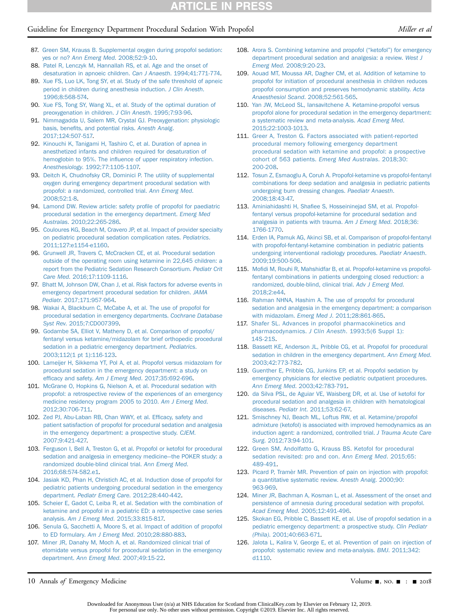## Guideline for Emergency Department Procedural Sedation With Propofol Miller et al. (*Miller et al.* (*Miller et al.*

- 87. [Green SM, Krauss B. Supplemental oxygen during propofol sedation:](http://refhub.elsevier.com/S0196-0644(18)31576-2/sref87) yes or no? [Ann Emerg Med](http://refhub.elsevier.com/S0196-0644(18)31576-2/sref87). 2008;52:9-10.
- <span id="page-9-0"></span>88. [Patel R, Lenczyk M, Hannallah RS, et al. Age and the onset of](http://refhub.elsevier.com/S0196-0644(18)31576-2/sref88) [desaturation in apnoeic children.](http://refhub.elsevier.com/S0196-0644(18)31576-2/sref88) Can J Anaesth. 1994;41:771-774.
- 89. [Xue FS, Luo LK, Tong SY, et al. Study of the safe threshold of apneic](http://refhub.elsevier.com/S0196-0644(18)31576-2/sref89) [period in children during anesthesia induction.](http://refhub.elsevier.com/S0196-0644(18)31576-2/sref89) J Clin Anesth. [1996;8:568-574.](http://refhub.elsevier.com/S0196-0644(18)31576-2/sref89)
- 90. [Xue FS, Tong SY, Wang XL, et al. Study of the optimal duration of](http://refhub.elsevier.com/S0196-0644(18)31576-2/sref90) [preoxygenation in children.](http://refhub.elsevier.com/S0196-0644(18)31576-2/sref90) J Clin Anesth. 1995;7:93-96.
- <span id="page-9-1"></span>91. [Nimmagadda U, Salem MR, Crystal GJ. Preoxygenation: physiologic](http://refhub.elsevier.com/S0196-0644(18)31576-2/sref91) basis, benefi[ts, and potential risks.](http://refhub.elsevier.com/S0196-0644(18)31576-2/sref91) Anesth Analg. [2017;124:507-517.](http://refhub.elsevier.com/S0196-0644(18)31576-2/sref91)
- 92. [Kinouchi K, Tanigami H, Tashiro C, et al. Duration of apnea in](http://refhub.elsevier.com/S0196-0644(18)31576-2/sref92) [anesthetized infants and children required for desaturation of](http://refhub.elsevier.com/S0196-0644(18)31576-2/sref92) hemoglobin to 95%. The infl[uence of upper respiratory infection.](http://refhub.elsevier.com/S0196-0644(18)31576-2/sref92) Anesthesiology[. 1992;77:1105-1107.](http://refhub.elsevier.com/S0196-0644(18)31576-2/sref92)
- <span id="page-9-2"></span>93. [Deitch K, Chudnofsky CR, Dominici P. The utility of supplemental](http://refhub.elsevier.com/S0196-0644(18)31576-2/sref93) [oxygen during emergency department procedural sedation with](http://refhub.elsevier.com/S0196-0644(18)31576-2/sref93) [propofol: a randomized, controlled trial.](http://refhub.elsevier.com/S0196-0644(18)31576-2/sref93) Ann Emerg Med. [2008;52:1-8](http://refhub.elsevier.com/S0196-0644(18)31576-2/sref93).
- <span id="page-9-3"></span>94. [Lamond DW. Review article: safety pro](http://refhub.elsevier.com/S0196-0644(18)31576-2/sref94)file of propofol for paediatric [procedural sedation in the emergency department.](http://refhub.elsevier.com/S0196-0644(18)31576-2/sref94) Emerg Med Australas[. 2010;22:265-286.](http://refhub.elsevier.com/S0196-0644(18)31576-2/sref94)
- 95. [Couloures KG, Beach M, Cravero JP, et al. Impact of provider specialty](http://refhub.elsevier.com/S0196-0644(18)31576-2/sref95) [on pediatric procedural sedation complication rates.](http://refhub.elsevier.com/S0196-0644(18)31576-2/sref95) Pediatrics. [2011;127:e1154-e1160.](http://refhub.elsevier.com/S0196-0644(18)31576-2/sref95)
- 96. [Grunwell JR, Travers C, McCracken CE, et al. Procedural sedation](http://refhub.elsevier.com/S0196-0644(18)31576-2/sref96) [outside of the operating room using ketamine in 22,645 children: a](http://refhub.elsevier.com/S0196-0644(18)31576-2/sref96) [report from the Pediatric Sedation Research Consortium.](http://refhub.elsevier.com/S0196-0644(18)31576-2/sref96) Pediatr Crit Care Med[. 2016;17:1109-1116](http://refhub.elsevier.com/S0196-0644(18)31576-2/sref96).
- 97. [Bhatt M, Johnson DW, Chan J, et al. Risk factors for adverse events in](http://refhub.elsevier.com/S0196-0644(18)31576-2/sref97) [emergency department procedural sedation for children.](http://refhub.elsevier.com/S0196-0644(18)31576-2/sref97) JAMA Pediatr[. 2017;171:957-964.](http://refhub.elsevier.com/S0196-0644(18)31576-2/sref97)
- 98. [Wakai A, Blackburn C, McCabe A, et al. The use of propofol for](http://refhub.elsevier.com/S0196-0644(18)31576-2/sref98) [procedural sedation in emergency departments.](http://refhub.elsevier.com/S0196-0644(18)31576-2/sref98) Cochrane Database Syst Rev[. 2015;7:CD007399](http://refhub.elsevier.com/S0196-0644(18)31576-2/sref98).
- 99. [Godambe SA, Elliot V, Matheny D, et al. Comparison of propofol/](http://refhub.elsevier.com/S0196-0644(18)31576-2/sref99) [fentanyl versus ketamine/midazolam for brief orthopedic procedural](http://refhub.elsevier.com/S0196-0644(18)31576-2/sref99) [sedation in a pediatric emergency department.](http://refhub.elsevier.com/S0196-0644(18)31576-2/sref99) Pediatrics. [2003;112\(1 pt 1\):116-123.](http://refhub.elsevier.com/S0196-0644(18)31576-2/sref99)
- 100. [Lameijer H, Sikkema YT, Pol A, et al. Propofol versus midazolam for](http://refhub.elsevier.com/S0196-0644(18)31576-2/sref101) [procedural sedation in the emergency department: a study on](http://refhub.elsevier.com/S0196-0644(18)31576-2/sref101) efficacy and safety. Am J Emerg Med[. 2017;35:692-696](http://refhub.elsevier.com/S0196-0644(18)31576-2/sref101).
- 101. [McGrane O, Hopkins G, Nielson A, et al. Procedural sedation with](http://refhub.elsevier.com/S0196-0644(18)31576-2/sref102) [propofol: a retrospective review of the experiences of an emergency](http://refhub.elsevier.com/S0196-0644(18)31576-2/sref102) [medicine residency program 2005 to 2010.](http://refhub.elsevier.com/S0196-0644(18)31576-2/sref102) Am J Emerg Med. [2012;30:706-711.](http://refhub.elsevier.com/S0196-0644(18)31576-2/sref102)
- 102. [Zed PJ, Abu-Laban RB, Chan WWY, et al. Ef](http://refhub.elsevier.com/S0196-0644(18)31576-2/sref103)ficacy, safety and [patient satisfaction of propofol for procedural sedation and analgesia](http://refhub.elsevier.com/S0196-0644(18)31576-2/sref103) [in the emergency department: a prospective study.](http://refhub.elsevier.com/S0196-0644(18)31576-2/sref103) CJEM. [2007;9:421-427.](http://refhub.elsevier.com/S0196-0644(18)31576-2/sref103)
- 103. [Ferguson I, Bell A, Treston G, et al. Propofol or ketofol for procedural](http://refhub.elsevier.com/S0196-0644(18)31576-2/sref104) [sedation and analgesia in emergency medicine](http://refhub.elsevier.com/S0196-0644(18)31576-2/sref104)—[the POKER study: a](http://refhub.elsevier.com/S0196-0644(18)31576-2/sref104) [randomized double-blind clinical trial.](http://refhub.elsevier.com/S0196-0644(18)31576-2/sref104) Ann Emerg Med. [2016;68:574-582.e1.](http://refhub.elsevier.com/S0196-0644(18)31576-2/sref104)
- 104. [Jasiak KD, Phan H, Christich AC, et al. Induction dose of propofol for](http://refhub.elsevier.com/S0196-0644(18)31576-2/sref105) [pediatric patients undergoing procedural sedation in the emergency](http://refhub.elsevier.com/S0196-0644(18)31576-2/sref105) department. [Pediatr Emerg Care](http://refhub.elsevier.com/S0196-0644(18)31576-2/sref105). 2012;28:440-442.
- 105. [Scheier E, Gadot C, Leiba R, et al. Sedation with the combination of](http://refhub.elsevier.com/S0196-0644(18)31576-2/sref106) [ketamine and propofol in a pediatric ED: a retrospective case series](http://refhub.elsevier.com/S0196-0644(18)31576-2/sref106) analysis. Am J Emerg Med[. 2015;33:815-817.](http://refhub.elsevier.com/S0196-0644(18)31576-2/sref106)
- 106. [Senula G, Sacchetti A, Moore S, et al. Impact of addition of propofol](http://refhub.elsevier.com/S0196-0644(18)31576-2/sref107) to ED formulary. Am J Emerg Med[. 2010;28:880-883.](http://refhub.elsevier.com/S0196-0644(18)31576-2/sref107)
- 107. [Miner JR, Danahy M, Moch A, et al. Randomized clinical trial of](http://refhub.elsevier.com/S0196-0644(18)31576-2/sref108) [etomidate versus propofol for procedural sedation in the emergency](http://refhub.elsevier.com/S0196-0644(18)31576-2/sref108) department. Ann Emerg Med[. 2007;49:15-22.](http://refhub.elsevier.com/S0196-0644(18)31576-2/sref108)
- 108. [Arora S. Combining ketamine and propofol \(](http://refhub.elsevier.com/S0196-0644(18)31576-2/sref109)"ketofol") for emergency [department procedural sedation and analgesia: a review.](http://refhub.elsevier.com/S0196-0644(18)31576-2/sref109) West J Emerg Med[. 2008;9:20-23.](http://refhub.elsevier.com/S0196-0644(18)31576-2/sref109)
- 109. [Aouad MT, Moussa AR, Dagher CM, et al. Addition of ketamine to](http://refhub.elsevier.com/S0196-0644(18)31576-2/sref110) [propofol for initiation of procedural anesthesia in children reduces](http://refhub.elsevier.com/S0196-0644(18)31576-2/sref110) [propofol consumption and preserves hemodynamic stability.](http://refhub.elsevier.com/S0196-0644(18)31576-2/sref110) Acta Anaesthesiol Scand[. 2008;52:561-565.](http://refhub.elsevier.com/S0196-0644(18)31576-2/sref110)
- 110. [Yan JW, McLeod SL, Iansavitchene A. Ketamine-propofol versus](http://refhub.elsevier.com/S0196-0644(18)31576-2/sref111) [propofol alone for procedural sedation in the emergency department:](http://refhub.elsevier.com/S0196-0644(18)31576-2/sref111) [a systematic review and meta-analysis.](http://refhub.elsevier.com/S0196-0644(18)31576-2/sref111) Acad Emerg Med. [2015;22:1003-1013](http://refhub.elsevier.com/S0196-0644(18)31576-2/sref111).
- 111. [Greer A, Treston G. Factors associated with patient-reported](http://refhub.elsevier.com/S0196-0644(18)31576-2/sref112) [procedural memory following emergency department](http://refhub.elsevier.com/S0196-0644(18)31576-2/sref112) [procedural sedation with ketamine and propofol: a prospective](http://refhub.elsevier.com/S0196-0644(18)31576-2/sref112) [cohort of 563 patients.](http://refhub.elsevier.com/S0196-0644(18)31576-2/sref112) Emerg Med Australas. 2018;30: [200-208.](http://refhub.elsevier.com/S0196-0644(18)31576-2/sref112)
- 112. [Tosun Z, Esmaoglu A, Coruh A. Propofol-ketamine vs propofol-fentanyl](http://refhub.elsevier.com/S0196-0644(18)31576-2/sref113) [combinations for deep sedation and analgesia in pediatric patients](http://refhub.elsevier.com/S0196-0644(18)31576-2/sref113) [undergoing burn dressing changes.](http://refhub.elsevier.com/S0196-0644(18)31576-2/sref113) Paediatr Anaesth. [2008;18:43-47.](http://refhub.elsevier.com/S0196-0644(18)31576-2/sref113)
- <span id="page-9-4"></span>113. Aminiahidashti H, Shafi[ee S, Hosseininejad SM, et al. Propofol](http://refhub.elsevier.com/S0196-0644(18)31576-2/sref135)[fentanyl versus propofol-ketamine for procedural sedation and](http://refhub.elsevier.com/S0196-0644(18)31576-2/sref135) [analgesia in patients with trauma.](http://refhub.elsevier.com/S0196-0644(18)31576-2/sref135) Am J Emerg Med. 2018;36: [1766-1770](http://refhub.elsevier.com/S0196-0644(18)31576-2/sref135).
- 114. [Erden IA, Pamuk AG, Akinci SB, et al. Comparison of propofol-fentanyl](http://refhub.elsevier.com/S0196-0644(18)31576-2/sref115) [with propofol-fentanyl-ketamine combination in pediatric patients](http://refhub.elsevier.com/S0196-0644(18)31576-2/sref115) [undergoing interventional radiology procedures.](http://refhub.elsevier.com/S0196-0644(18)31576-2/sref115) Paediatr Anaesth. [2009;19:500-506](http://refhub.elsevier.com/S0196-0644(18)31576-2/sref115).
- 115. Mofi[di M, Rouhi R, Mahshidfar B, et al. Propofol-ketamine vs propofol](http://refhub.elsevier.com/S0196-0644(18)31576-2/sref116)[fentanyl combinations in patients undergoing closed reduction: a](http://refhub.elsevier.com/S0196-0644(18)31576-2/sref116) [randomized, double-blind, clinical trial.](http://refhub.elsevier.com/S0196-0644(18)31576-2/sref116) Adv J Emerg Med. [2018;2:e44.](http://refhub.elsevier.com/S0196-0644(18)31576-2/sref116)
- 116. [Rahman NHNA, Hashim A. The use of propofol for procedural](http://refhub.elsevier.com/S0196-0644(18)31576-2/sref117) [sedation and analgesia in the emergency department: a comparison](http://refhub.elsevier.com/S0196-0644(18)31576-2/sref117) with midazolam. Emerg Med J[. 2011;28:861-865.](http://refhub.elsevier.com/S0196-0644(18)31576-2/sref117)
- 117. [Shafer SL. Advances in propofol pharmacokinetics and](http://refhub.elsevier.com/S0196-0644(18)31576-2/sref134) pharmacodynamics. J Clin Anesth[. 1993;5\(6 Suppl 1\):](http://refhub.elsevier.com/S0196-0644(18)31576-2/sref134) [14S-21S](http://refhub.elsevier.com/S0196-0644(18)31576-2/sref134).
- 118. [Bassett KE, Anderson JL, Pribble CG, et al. Propofol for procedural](http://refhub.elsevier.com/S0196-0644(18)31576-2/sref119) [sedation in children in the emergency department.](http://refhub.elsevier.com/S0196-0644(18)31576-2/sref119) Ann Emerg Med. [2003;42:773-782](http://refhub.elsevier.com/S0196-0644(18)31576-2/sref119).
- 119. [Guenther E, Pribble CG, Junkins EP, et al. Propofol sedation by](http://refhub.elsevier.com/S0196-0644(18)31576-2/sref120) [emergency physicians for elective pediatric outpatient procedures.](http://refhub.elsevier.com/S0196-0644(18)31576-2/sref120) Ann Emerg Med[. 2003;42:783-791](http://refhub.elsevier.com/S0196-0644(18)31576-2/sref120).
- 120. [da Silva PSL, de Aguiar VE, Waisberg DR, et al. Use of ketofol for](http://refhub.elsevier.com/S0196-0644(18)31576-2/sref121) [procedural sedation and analgesia in children with hematological](http://refhub.elsevier.com/S0196-0644(18)31576-2/sref121) diseases. Pediatr Int[. 2011;53:62-67.](http://refhub.elsevier.com/S0196-0644(18)31576-2/sref121)
- 121. [Smischney NJ, Beach ML, Loftus RW, et al. Ketamine/propofol](http://refhub.elsevier.com/S0196-0644(18)31576-2/sref122) [admixture \(ketofol\) is associated with improved hemodynamics as an](http://refhub.elsevier.com/S0196-0644(18)31576-2/sref122) [induction agent: a randomized, controlled trial.](http://refhub.elsevier.com/S0196-0644(18)31576-2/sref122) J Trauma Acute Care Surg[. 2012;73:94-101.](http://refhub.elsevier.com/S0196-0644(18)31576-2/sref122)
- 122. [Green SM, Andolfatto G, Krauss BS. Ketofol for procedural](http://refhub.elsevier.com/S0196-0644(18)31576-2/sref123) [sedation revisited: pro and con.](http://refhub.elsevier.com/S0196-0644(18)31576-2/sref123) Ann Emerg Med. 2015;65: [489-491.](http://refhub.elsevier.com/S0196-0644(18)31576-2/sref123)
- <span id="page-9-6"></span>123. [Picard P, Tramèr MR. Prevention of pain on injection with propofol:](http://refhub.elsevier.com/S0196-0644(18)31576-2/sref124) [a quantitative systematic review.](http://refhub.elsevier.com/S0196-0644(18)31576-2/sref124) Anesth Analg. 2000;90: [963-969.](http://refhub.elsevier.com/S0196-0644(18)31576-2/sref124)
- 124. [Miner JR, Bachman A, Kosman L, et al. Assessment of the onset and](http://refhub.elsevier.com/S0196-0644(18)31576-2/sref125) [persistence of amnesia during procedural sedation with propofol.](http://refhub.elsevier.com/S0196-0644(18)31576-2/sref125) Acad Emerg Med[. 2005;12:491-496.](http://refhub.elsevier.com/S0196-0644(18)31576-2/sref125)
- 125. [Skokan EG, Pribble C, Bassett KE, et al. Use of propofol sedation in a](http://refhub.elsevier.com/S0196-0644(18)31576-2/sref126) [pediatric emergency department: a prospective study.](http://refhub.elsevier.com/S0196-0644(18)31576-2/sref126) Clin Pediatr (Phila)[. 2001;40:663-671](http://refhub.elsevier.com/S0196-0644(18)31576-2/sref126).
- <span id="page-9-5"></span>126. [Jalota L, Kalira V, George E, et al. Prevention of pain on injection of](http://refhub.elsevier.com/S0196-0644(18)31576-2/sref127) [propofol: systematic review and meta-analysis.](http://refhub.elsevier.com/S0196-0644(18)31576-2/sref127) BMJ. 2011;342: [d1110](http://refhub.elsevier.com/S0196-0644(18)31576-2/sref127).

10 Annals of Emergency Medicine Contract Contract Contract Contract Contract Contract Contract Contract Contract Contract Contract Oriental Annual Contract Contract Contract Contract Contract Contract Contract Contract Con

Downloaded for Anonymous User (n/a) at NHS Education for Scotland from ClinicalKey.com by Elsevier on February 12, 2019. For personal use only. No other uses without permission. Copyright ©2019. Elsevier Inc. All rights reserved.